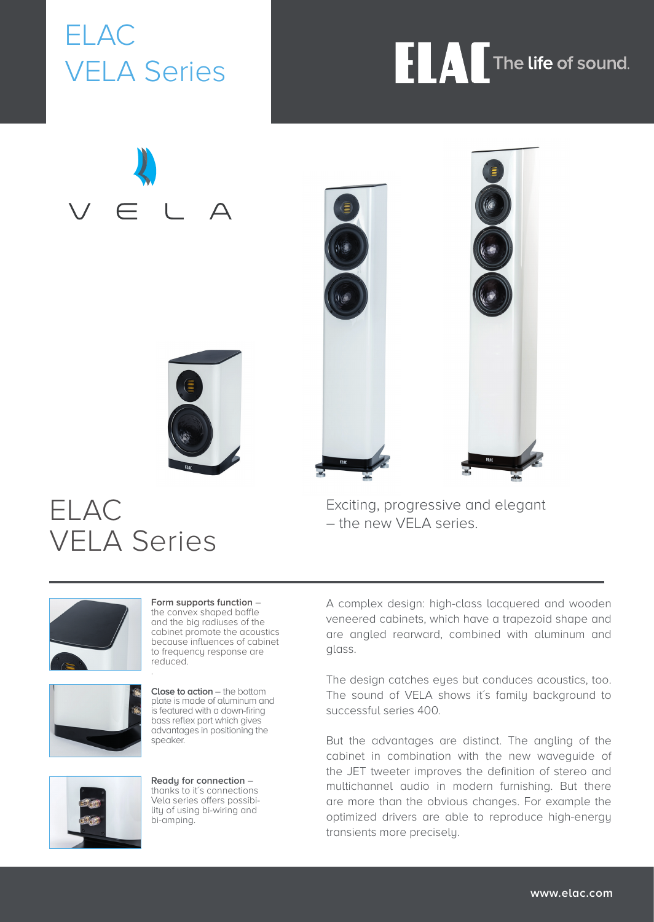ELAC VELA Series

# **FLAC** The life of sound.

 $\triangle$ 





Exciting, progressive and elegant – the new VELA series.



.





**Form supports function** – the convex shaped baffle and the big radiuses of the cabinet promote the acoustics because influences of cabinet to frequency response are reduced.

**Close to action** – the bottom plate is made of aluminum and is featured with a down-firing bass reflex port which gives advantages in positioning the speaker.



**Ready for connection** – thanks to it's connections Vela series offers possibility of using bi-wiring and bi-amping.

A complex design: high-class lacquered and wooden veneered cabinets, which have a trapezoid shape and are angled rearward, combined with aluminum and glass.

The design catches eyes but conduces acoustics, too. The sound of VELA shows it's family background to successful series 400.

But the advantages are distinct. The angling of the cabinet in combination with the new waveguide of the JET tweeter improves the definition of stereo and multichannel audio in modern furnishing. But there are more than the obvious changes. For example the optimized drivers are able to reproduce high-energy transients more precisely.